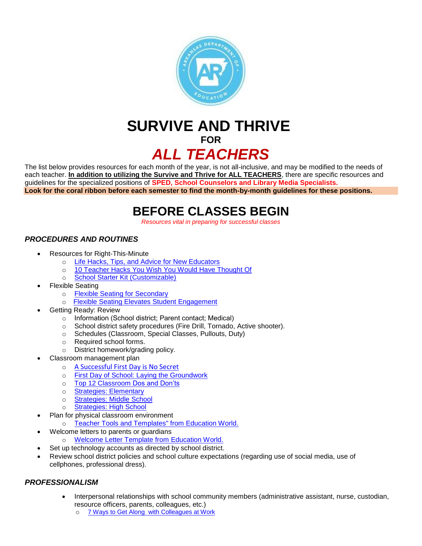

# **SURVIVE AND THRIVE FOR** *ALL TEACHERS*

The list below provides resources for each month of the year, is not all-inclusive, and may be modified to the needs of each teacher. **In addition to utilizing the Survive and Thrive for ALL TEACHERS**, there are specific resources and guidelines for the specialized positions of **SPED, School Counselors and Library Media Specialists. Look for the coral ribbon before each semester to find the month-by-month guidelines for these positions.**

# **BEFORE CLASSES BEGIN**

*Resources vital in preparing for successful classes*

# *PROCEDURES AND ROUTINES*

- Resources for Right-This-Minute
	- o [Life Hacks, Tips, and Advice for New Educators](http://neatoday.org/school-me/?gclid=CjwKCAjwvJvpBRAtEiwAjLuRPbB9x-3s7gj2uJWoqyL7_Zou5gTqYdsyHkAxfp8kagOIUBQl1s62ihoCJcIQAvD_Bw)
	- o [10 Teacher Hacks You Wish You Would Have Thought Of](https://chaylorandmads.com/2019/07/05/teacher-hacks/)
	- o [School Starter Kit \(Customizable\)](http://www.arkansased.gov/divisions/educator%20effectiveness/educator-support-development/teacher-excellence-and-support-system-tess/novice-teacher-inductionmentoring)
- Flexible Seating
	- o [Flexible Seating for Secondary](https://educationcloset.com/2016/09/26/flexible-seating-secondary/)
	- o [Flexible Seating Elevates Student Engagement](https://www.edutopia.org/practice/flexible-classrooms-providing-learning-environment-kids-need)
- Getting Ready: Review
	- o Information (School district; Parent contact; Medical)
	- o School district safety procedures (Fire Drill, Tornado, Active shooter).
	- o Schedules (Classroom, Special Classes, Pullouts, Duty)
	- o Required school forms.
	- o District homework/grading policy.
	- Classroom management plan
		- o [A Successful First Day is No Secret](https://www.teachers.net/wong/SEP05/)
		- o [First Day of School: Laying the Groundwork](https://www.educationworld.com/a_curr/columnists/mcdonald/mcdonald001.shtml)
		- o [Top 12 Classroom Dos and Don'ts](https://www.teachhub.com/top-12-classroom-management-dos-and-donts)
		- o [Strategies: Elementary](https://www.elementaryeducationdegree.com/classroom-management-tips/)
		- o [Strategies: Middle School](https://education.cu-portland.edu/blog/classroom-resources/middle-school-classroom-management-strategies/)
		- o [Strategies: High School](https://education.cu-portland.edu/blog/classroom-resources/classroom-management-strategies-for-high-school-teachers/)
- Plan for physical classroom environment
	- o [Teacher Tools and Templates" from Education World.](http://www.educationworld.com/tools_templates/index.shtml#bulletin)
- Welcome letters to parents or guardians
	- o [Welcome Letter Template from](http://www.educationworld.com/tools_templates/welcome_letter.doc) Education World.
- Set up technology accounts as directed by school district.
- Review school district policies and school culture expectations (regarding use of social media, use of cellphones, professional dress).

## *PROFESSIONALISM*

- Interpersonal relationships with school community members (administrative assistant, nurse, custodian, resource officers, parents, colleagues, etc.)
	- o 7 Ways to Get Along [with Colleagues at Work](https://www.readersdigest.ca/health/relationships/7-tricks-getting-along-colleagues/)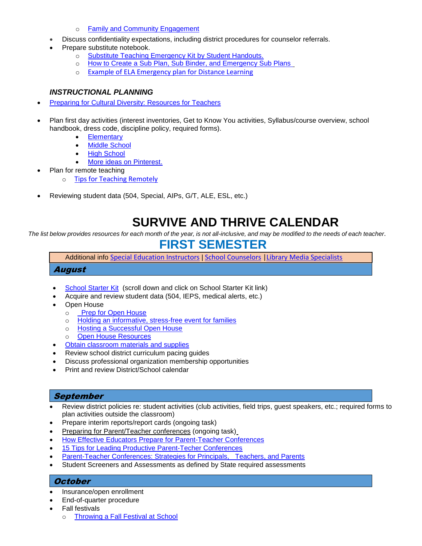- o [Family and Community Engagement](http://www.arkansased.gov/im-looking-for/parents)
- Discuss confidentiality expectations, including district procedures for counselor referrals.
- Prepare substitute notebook.
	- o [Substitute Teaching Emergency Kit by Student Handouts.](http://www.studenthandouts.com/subfolder/substituteteaching.htm)
	- o [How to Create a Sub Plan, Sub Binder, and Emergency Sub Plans](http://www.teachjunkie.com/planning/sub-plans-emergency-sub-plans/)
	- o [Example of ELA Emergency plan for Distance Learning](https://teachingelawithjoy.com/5-ela-emergency-lesson-plan-ideas-for-distance-learning/)

#### *INSTRUCTIONAL PLANNING*

- [Preparing for Cultural Diversity: Resources for Teachers](https://www.edutopia.org/blog/preparing-cultural-diversity-resources-teachers)
- Plan first day activities (interest inventories, Get to Know You activities, Syllabus/course overview, school handbook, dress code, discipline policy, required forms).
	- [Elementary](https://www.google.com/search?q=elementary+school+first+day+activities&rlz=1C1CHBF_enUS811US811&oq=Elementary+School+First+&aqs=chrome.2.0j69i57j0j69i60j0j69i60.11431j0j4&sourceid=chrome&ie=UTF-8)
	- [Middle School](https://www.google.com/search?q=first+day+of+school+activities+middle+school&rlz=1C1CHBF_enUS811US811&oq=First+Day+of+School+Activities+Middle+School&aqs=chrome.0.0l6.9142j0j7&sourceid=chrome&ie=UTF-8)
	- [High School](https://www.pinterest.com/krystalscards/high-school-first-day-of-school-activities/)
	- [More ideas on Pinterest.](https://www.pinterest.com/search/pins/?q=first%20day%20of%20school%20activities%20for%20secondary%20students)
- Plan for remote teaching
	- o [Tips for Teaching Remotely](https://www.freetech4teachers.com/2020/03/tips-and-tools-for-teaching-remotely.html)
- Reviewing student data (504, Special, AIPs, G/T, ALE, ESL, etc.)

# **SURVIVE AND THRIVE CALENDAR**

*The list below provides resources for each month of the year, is not all-inclusive, and may be modified to the needs of each teacher.*

# **FIRST SEMESTER**

Additional info [Special Education Instructors](http://dese.ade.arkansas.gov/public/userfiles/Educator_Effectiveness/Educator_Support_and_Development/SURVIVE_AND_THRIVE_Sped2_2020.pdf) | [School Counselors](http://dese.ade.arkansas.gov/public/userfiles/Educator_Effectiveness/Educator_Support_and_Development/SURVIVE_AND_THRIVE_counselors_2020.pdf) [|Library Media Specialists](http://dese.ade.arkansas.gov/public/userfiles/Educator_Effectiveness/Educator_Support_and_Development/SURVIVE_AND_THRIVE_Library_2020.pdf)

## August

- [School Starter Kit](http://www.arkansased.gov/divisions/educator%20effectiveness/educator-support-development/teacher-excellence-and-support-system-tess/novice-teacher-inductionmentoring) (scroll down and click on School Starter Kit link)
- Acquire and review student data (504, IEPS, medical alerts, etc.)
- Open House
	- o [Prep for Open House](https://www.educationworld.com/a_curr/profdev/profdev103a.shtml)
	- o [Holding an informative, stress-free event for families](https://thecornerstoneforteachers.com/open-house/)
	- o [Hosting a Successful Open House](https://www.teachervision.com/teacher-parent-collaboration/hosting-successful-open-house)
	- o [Open House Resources](https://www.teachervision.com/teaching-strategies/open-house-resources)
- **•** [Obtain classroom materials and supplies](https://www.pinterest.com/search/pins/?q=school%20supplies%20on%20a%20budget)
- Review school district curriculum pacing guides
- Discuss professional organization membership opportunities
- Print and review District/School calendar

## September

- Review district policies re: student activities (club activities, field trips, guest speakers, etc.; required forms to plan activities outside the classroom)
- Prepare interim reports/report cards (ongoing task)
- [Preparing for Parent/Teacher conferences](https://www.educationworld.com/a_curr/strategy/strategy046.shtml) (ongoing task[\)](http://www.educationworld.com/a_curr/strategy/strategy046.shtml)
- **[How Effective Educators Prepare for Parent-Teacher Conferences](https://education.cu-portland.edu/blog/classroom-resources/how-effective-educators-prepare-for-parent-teacher-conferences/)**
- [15 Tips for Leading Productive Parent-Techer Conferences](https://education.cu-portland.edu/blog/classroom-resources/parent-teacher-conferences/)
- [Parent-Teacher Conferences: Strategies for Principals, Teachers, and Parents](https://globalfrp.org/content/download/402/3731/file/GFRPTipSheet_ParentTeacherConference.pdf)
- Student Screeners and Assessments as defined by State required assessments

## **October**

- Insurance/open enrollment
- End-of-quarter procedure
- Fall festivals
	- o [Throwing a Fall Festival at School](https://www.thespruce.com/throwing-a-fall-festival-at-school-2104524)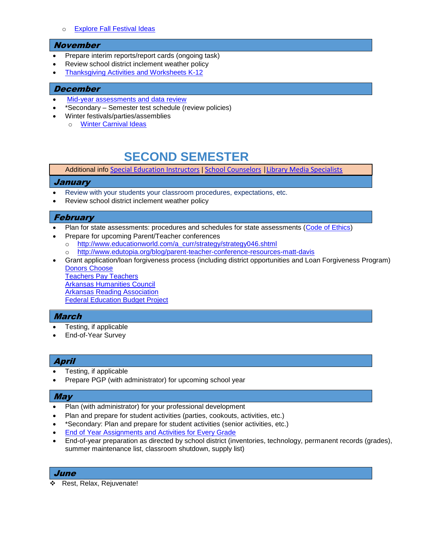#### o [Explore Fall Festival Ideas](https://www.pinterest.com/explore/fall-festival-party/)

#### November

- Prepare interim reports/report cards (ongoing task)
- Review school district inclement weather policy
- [Thanksgiving Activities and Worksheets K-12](https://www.teachervision.com/holidays/thanksgiving)

#### December

- [Mid-year assessments and data review](https://www.edutopia.org/blog/using-student-data-inform-teaching-rebecca-alber)
- \*Secondary Semester test schedule (review policies)
- Winter festivals/parties/assemblies
	- o [Winter Carnival Ideas](https://www.pinterest.com/pin/80924124525843460/?lp=true)

# **SECOND SEMESTER**

Additional info [Special Education Instructors](http://dese.ade.arkansas.gov/public/userfiles/Educator_Effectiveness/Educator_Support_and_Development/SURVIVE_AND_THRIVE_Sped2_2020.pdf) | [School Counselors](http://dese.ade.arkansas.gov/public/userfiles/Educator_Effectiveness/Educator_Support_and_Development/SURVIVE_AND_THRIVE_counselors_2020.pdf) [|Library Media Specialists](http://dese.ade.arkansas.gov/public/userfiles/Educator_Effectiveness/Educator_Support_and_Development/SURVIVE_AND_THRIVE_Library_2020.pdf)

#### January

- Review with your students your classroom procedures, expectations, etc.
- Review school district inclement weather policy

#### **February**

- Plan for state assessments: procedures and schedules for state assessments [\(Code of Ethics\)](http://dese.ade.arkansas.gov/divisions/educator%20effectiveness/plsb-professional-ethics-discipline/code-of-ethics-for-arkansas-educators)
- Prepare for upcoming Parent/Teacher conferences
	- o [http://www.educationworld.com/a\\_curr/strategy/strategy046.shtml](http://www.educationworld.com/a_curr/strategy/strategy046.shtml)
	- o <http://www.edutopia.org/blog/parent-teacher-conference-resources-matt-davis>

 Grant application/loan forgiveness process (including district opportunities and Loan Forgiveness Program) [Donors Choose](http://www.donorschoose.org/) [Teachers Pay Teachers](https://www.teacherspayteachers.com/) [Arkansas Humanities Council](https://arkansashumanitiescouncil.org/) [Arkansas Reading Association](http://www.arareading.org/) [Federal Education Budget Project](http://febp.newamerica.net/)

## **March**

- Testing, if applicable
- End-of-Year Survey

# April

- Testing, if applicable
- Prepare PGP (with administrator) for upcoming school year

#### May

- Plan (with administrator) for your professional development
- Plan and prepare for student activities (parties, cookouts, activities, etc.)
- \*Secondary: Plan and prepare for student activities (senior activities, etc.)
- **[End of Year Assignments and Activities for Every Grade](https://www.weareteachers.com/end-of-year-assignments/)**
- End-of-year preparation as directed by school district (inventories, technology, permanent records (grades), summer maintenance list, classroom shutdown, supply list)

#### June

Rest, Relax, Rejuvenate!